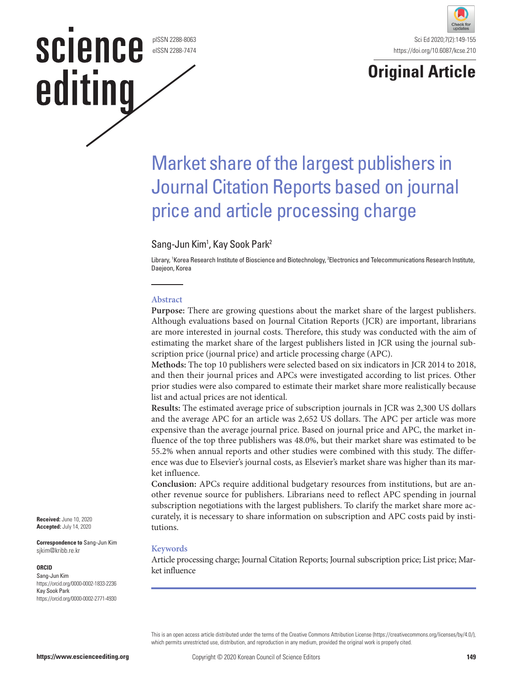#### pISSN 2288-8063 eISSN 2288-7474

**SCIENCE** 

editing



# **Original Article**

# Market share of the largest publishers in Journal Citation Reports based on journal price and article processing charge

# Sang-Jun Kim<sup>1</sup>, Kay Sook Park<sup>2</sup>

Library, 1 Korea Research Institute of Bioscience and Biotechnology, 2 Electronics and Telecommunications Research Institute, Daejeon, Korea

#### **Abstract**

**Purpose:** There are growing questions about the market share of the largest publishers. Although evaluations based on Journal Citation Reports (JCR) are important, librarians are more interested in journal costs. Therefore, this study was conducted with the aim of estimating the market share of the largest publishers listed in JCR using the journal subscription price (journal price) and article processing charge (APC).

**Methods:** The top 10 publishers were selected based on six indicators in JCR 2014 to 2018, and then their journal prices and APCs were investigated according to list prices. Other prior studies were also compared to estimate their market share more realistically because list and actual prices are not identical.

**Results:** The estimated average price of subscription journals in JCR was 2,300 US dollars and the average APC for an article was 2,652 US dollars. The APC per article was more expensive than the average journal price. Based on journal price and APC, the market influence of the top three publishers was 48.0%, but their market share was estimated to be 55.2% when annual reports and other studies were combined with this study. The difference was due to Elsevier's journal costs, as Elsevier's market share was higher than its market influence.

**Conclusion:** APCs require additional budgetary resources from institutions, but are another revenue source for publishers. Librarians need to reflect APC spending in journal subscription negotiations with the largest publishers. To clarify the market share more accurately, it is necessary to share information on subscription and APC costs paid by institutions.

### **Keywords**

Article processing charge; Journal Citation Reports; Journal subscription price; List price; Market influence

This is an open access article distributed under the terms of the Creative Commons Attribution License (https://creativecommons.org/licenses/by/4.0/), which permits unrestricted use, distribution, and reproduction in any medium, provided the original work is properly cited.

**Received:** June 10, 2020 **Accepted:** July 14, 2020

**Correspondence to** Sang-Jun Kim sjkim@kribb.re.kr

#### **ORCID**

Sang-Jun Kim https://orcid.org/0000-0002-1833-2236 Kay Sook Park https://orcid.org/0000-0002-2771-4930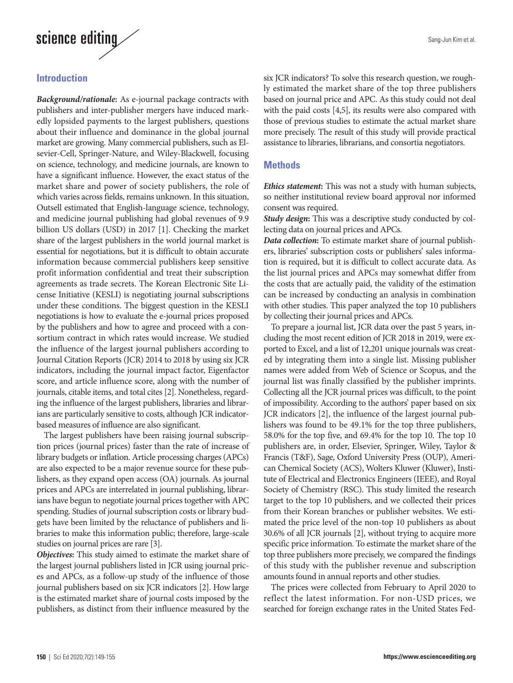

# **Introduction**

*Background/rationale***:** As e-journal package contracts with publishers and inter-publisher mergers have induced markedly lopsided payments to the largest publishers, questions about their influence and dominance in the global journal market are growing. Many commercial publishers, such as Elsevier-Cell, Springer-Nature, and Wiley-Blackwell, focusing on science, technology, and medicine journals, are known to have a significant influence. However, the exact status of the market share and power of society publishers, the role of which varies across fields, remains unknown. In this situation, Outsell estimated that English-language science, technology, and medicine journal publishing had global revenues of 9.9 billion US dollars (USD) in 2017 [1]. Checking the market share of the largest publishers in the world journal market is essential for negotiations, but it is difficult to obtain accurate information because commercial publishers keep sensitive profit information confidential and treat their subscription agreements as trade secrets. The Korean Electronic Site License Initiative (KESLI) is negotiating journal subscriptions under these conditions. The biggest question in the KESLI negotiations is how to evaluate the e-journal prices proposed by the publishers and how to agree and proceed with a consortium contract in which rates would increase. We studied the influence of the largest journal publishers according to Journal Citation Reports (JCR) 2014 to 2018 by using six JCR indicators, including the journal impact factor, Eigenfactor score, and article influence score, along with the number of journals, citable items, and total cites [2]. Nonetheless, regarding the influence of the largest publishers, libraries and librarians are particularly sensitive to costs, although JCR indicatorbased measures of influence are also significant.

The largest publishers have been raising journal subscription prices (journal prices) faster than the rate of increase of library budgets or inflation. Article processing charges (APCs) are also expected to be a major revenue source for these publishers, as they expand open access (OA) journals. As journal prices and APCs are interrelated in journal publishing, librarians have begun to negotiate journal prices together with APC spending. Studies of journal subscription costs or library budgets have been limited by the reluctance of publishers and libraries to make this information public; therefore, large-scale studies on journal prices are rare [3].

*Objectives***:** This study aimed to estimate the market share of the largest journal publishers listed in JCR using journal prices and APCs, as a follow-up study of the influence of those journal publishers based on six JCR indicators [2]. How large is the estimated market share of journal costs imposed by the publishers, as distinct from their influence measured by the

six JCR indicators? To solve this research question, we roughly estimated the market share of the top three publishers based on journal price and APC. As this study could not deal with the paid costs [4,5], its results were also compared with those of previous studies to estimate the actual market share more precisely. The result of this study will provide practical assistance to libraries, librarians, and consortia negotiators.

### **Methods**

*Ethics statement***:** This was not a study with human subjects, so neither institutional review board approval nor informed consent was required.

**Study design:** This was a descriptive study conducted by collecting data on journal prices and APCs.

*Data collection***:** To estimate market share of journal publishers, libraries' subscription costs or publishers' sales information is required, but it is difficult to collect accurate data. As the list journal prices and APCs may somewhat differ from the costs that are actually paid, the validity of the estimation can be increased by conducting an analysis in combination with other studies. This paper analyzed the top 10 publishers by collecting their journal prices and APCs.

To prepare a journal list, JCR data over the past 5 years, including the most recent edition of JCR 2018 in 2019, were exported to Excel, and a list of 12,201 unique journals was created by integrating them into a single list. Missing publisher names were added from Web of Science or Scopus, and the journal list was finally classified by the publisher imprints. Collecting all the JCR journal prices was difficult, to the point of impossibility. According to the authors' paper based on six JCR indicators [2], the influence of the largest journal publishers was found to be 49.1% for the top three publishers, 58.0% for the top five, and 69.4% for the top 10. The top 10 publishers are, in order, Elsevier, Springer, Wiley, Taylor & Francis (T&F), Sage, Oxford University Press (OUP), American Chemical Society (ACS), Wolters Kluwer (Kluwer), Institute of Electrical and Electronics Engineers (IEEE), and Royal Society of Chemistry (RSC). This study limited the research target to the top 10 publishers, and we collected their prices from their Korean branches or publisher websites. We estimated the price level of the non-top 10 publishers as about 30.6% of all JCR journals [2], without trying to acquire more specific price information. To estimate the market share of the top three publishers more precisely, we compared the findings of this study with the publisher revenue and subscription amounts found in annual reports and other studies.

The prices were collected from February to April 2020 to reflect the latest information. For non-USD prices, we searched for foreign exchange rates in the United States Fed-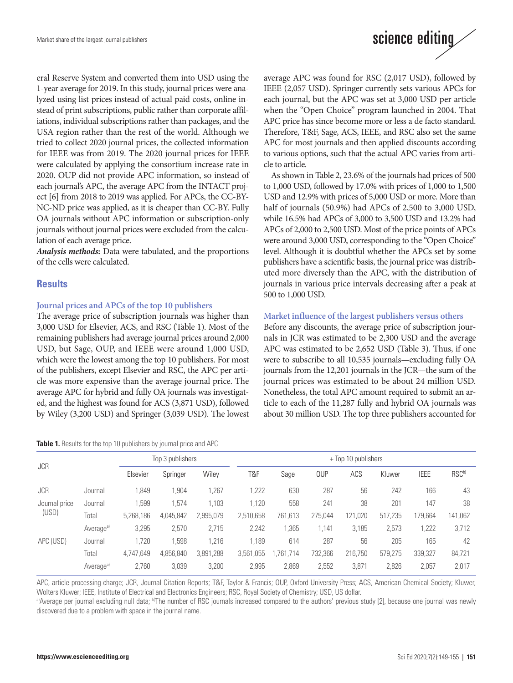eral Reserve System and converted them into USD using the 1-year average for 2019. In this study, journal prices were analyzed using list prices instead of actual paid costs, online instead of print subscriptions, public rather than corporate affiliations, individual subscriptions rather than packages, and the USA region rather than the rest of the world. Although we tried to collect 2020 journal prices, the collected information for IEEE was from 2019. The 2020 journal prices for IEEE were calculated by applying the consortium increase rate in 2020. OUP did not provide APC information, so instead of each journal's APC, the average APC from the INTACT project [6] from 2018 to 2019 was applied. For APCs, the CC-BY-NC-ND price was applied, as it is cheaper than CC-BY. Fully OA journals without APC information or subscription-only journals without journal prices were excluded from the calculation of each average price.

*Analysis methods***:** Data were tabulated, and the proportions of the cells were calculated.

## **Results**

#### **Journal prices and APCs of the top 10 publishers**

The average price of subscription journals was higher than 3,000 USD for Elsevier, ACS, and RSC (Table 1). Most of the remaining publishers had average journal prices around 2,000 USD, but Sage, OUP, and IEEE were around 1,000 USD, which were the lowest among the top 10 publishers. For most of the publishers, except Elsevier and RSC, the APC per article was more expensive than the average journal price. The average APC for hybrid and fully OA journals was investigated, and the highest was found for ACS (3,871 USD), followed by Wiley (3,200 USD) and Springer (3,039 USD). The lowest

| Table 1. Results for the top 10 publishers by journal price and APC |  |  |
|---------------------------------------------------------------------|--|--|
|---------------------------------------------------------------------|--|--|



average APC was found for RSC (2,017 USD), followed by IEEE (2,057 USD). Springer currently sets various APCs for each journal, but the APC was set at 3,000 USD per article when the "Open Choice" program launched in 2004. That APC price has since become more or less a de facto standard. Therefore, T&F, Sage, ACS, IEEE, and RSC also set the same APC for most journals and then applied discounts according to various options, such that the actual APC varies from article to article.

As shown in Table 2, 23.6% of the journals had prices of 500 to 1,000 USD, followed by 17.0% with prices of 1,000 to 1,500 USD and 12.9% with prices of 5,000 USD or more. More than half of journals (50.9%) had APCs of 2,500 to 3,000 USD, while 16.5% had APCs of 3,000 to 3,500 USD and 13.2% had APCs of 2,000 to 2,500 USD. Most of the price points of APCs were around 3,000 USD, corresponding to the "Open Choice" level. Although it is doubtful whether the APCs set by some publishers have a scientific basis, the journal price was distributed more diversely than the APC, with the distribution of journals in various price intervals decreasing after a peak at 500 to 1,000 USD.

### **Market influence of the largest publishers versus others**

Before any discounts, the average price of subscription journals in JCR was estimated to be 2,300 USD and the average APC was estimated to be 2,652 USD (Table 3). Thus, if one were to subscribe to all 10,535 journals—excluding fully OA journals from the 12,201 journals in the JCR—the sum of the journal prices was estimated to be about 24 million USD. Nonetheless, the total APC amount required to submit an article to each of the 11,287 fully and hybrid OA journals was about 30 million USD. The top three publishers accounted for

| <b>JCR</b>    |                       | Top 3 publishers |           |           | + Top 10 publishers |          |            |         |         |             |                   |
|---------------|-----------------------|------------------|-----------|-----------|---------------------|----------|------------|---------|---------|-------------|-------------------|
|               |                       | Elsevier         | Springer  | Wiley     | T&F                 | Sage     | <b>OUP</b> | ACS     | Kluwer  | <b>IEEE</b> | RSC <sup>b)</sup> |
| <b>JCR</b>    | Journal               | 1,849            | 1,904     | 1,267     | ,222                | 630      | 287        | 56      | 242     | 166         | 43                |
| Journal price | Journal               | 1.599            | 1.574     | 1.103     | .120                | 558      | 241        | 38      | 201     | 147         | 38                |
| (USD)         | Total                 | 5.268.186        | 4,045,842 | 2,995,079 | 2,510,658           | 761,613  | 275.044    | 121,020 | 517,235 | 179,664     | 141,062           |
|               | Average <sup>a)</sup> | 3,295            | 2,570     | 2.715     | 2,242               | ,365     | 1.141      | 3.185   | 2,573   | ,222        | 3,712             |
| APC (USD)     | Journal               | 1.720            | 1.598     | 1.216     | .189                | 614      | 287        | 56      | 205     | 165         | 42                |
|               | Total                 | 4,747,649        | 4,856,840 | 3,891,288 | 3.561.<br>.055      | .761.714 | 732,366    | 216.750 | 579.275 | 339,327     | 84,721            |
|               | Average <sup>a)</sup> | 2,760            | 3,039     | 3,200     | 2,995               | 2,869    | 2,552      | 3,871   | 2,826   | 2,057       | 2,017             |

APC, article processing charge; JCR, Journal Citation Reports; T&F, Taylor & Francis; OUP, Oxford University Press; ACS, American Chemical Society; Kluwer, Wolters Kluwer; IEEE, Institute of Electrical and Electronics Engineers; RSC, Royal Society of Chemistry; USD, US dollar.

a)Average per journal excluding null data; <sup>b</sup>)The number of RSC journals increased compared to the authors' previous study [2], because one journal was newly discovered due to a problem with space in the journal name.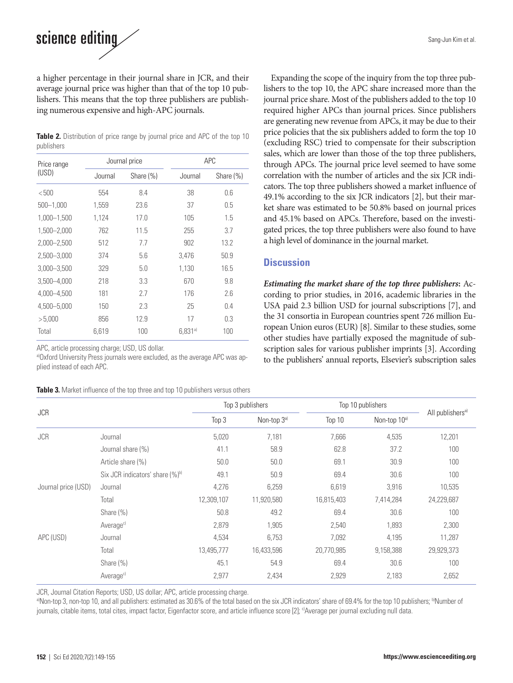# science editing

a higher percentage in their journal share in JCR, and their average journal price was higher than that of the top 10 publishers. This means that the top three publishers are publishing numerous expensive and high-APC journals.

**Table 2.** Distribution of price range by journal price and APC of the top 10 publishers

| Price range     |         | Journal price |         | APC          |  |  |  |
|-----------------|---------|---------------|---------|--------------|--|--|--|
| (USD)           | Journal | Share (%)     |         | Share $(\%)$ |  |  |  |
| < 500           | 554     | 8.4           | 38      | 0.6          |  |  |  |
| $500 - 1,000$   | 1,559   | 23.6          | 37      | 0.5          |  |  |  |
| 1,000-1,500     | 1,124   | 17.0          | 105     | 1.5          |  |  |  |
| 1,500-2,000     | 762     | 11.5          | 255     | 3.7          |  |  |  |
| 2,000-2,500     | 512     | 7.7           | 902     | 13.2         |  |  |  |
| $2,500 - 3,000$ | 374     | 5.6           | 3,476   | 50.9         |  |  |  |
| $3,000 - 3,500$ | 329     | 5.0           | 1,130   | 16.5         |  |  |  |
| $3,500 - 4,000$ | 218     | 3.3           | 670     | 9.8          |  |  |  |
| 4.000-4.500     | 181     | 2.7           | 176     | 2.6          |  |  |  |
| 4,500 - 5,000   | 150     | 2.3           | 25      | 0.4          |  |  |  |
| >5,000          | 856     | 12.9          | 17      | 0.3          |  |  |  |
| Total           | 6,619   | 100           | 6.831a) | 100          |  |  |  |

APC, article processing charge; USD, US dollar.

a)Oxford University Press journals were excluded, as the average APC was applied instead of each APC.

**Table 3.** Market influence of the top three and top 10 publishers versus others

Expanding the scope of the inquiry from the top three publishers to the top 10, the APC share increased more than the journal price share. Most of the publishers added to the top 10 required higher APCs than journal prices. Since publishers are generating new revenue from APCs, it may be due to their price policies that the six publishers added to form the top 10 (excluding RSC) tried to compensate for their subscription sales, which are lower than those of the top three publishers, through APCs. The journal price level seemed to have some correlation with the number of articles and the six JCR indicators. The top three publishers showed a market influence of 49.1% according to the six JCR indicators [2], but their market share was estimated to be 50.8% based on journal prices and 45.1% based on APCs. Therefore, based on the investigated prices, the top three publishers were also found to have a high level of dominance in the journal market.

# **Discussion**

*Estimating the market share of the top three publishers***:** According to prior studies, in 2016, academic libraries in the USA paid 2.3 billion USD for journal subscriptions [7], and the 31 consortia in European countries spent 726 million European Union euros (EUR) [8]. Similar to these studies, some other studies have partially exposed the magnitude of subscription sales for various publisher imprints [3]. According to the publishers' annual reports, Elsevier's subscription sales

|                     |                                             | Top 3 publishers |                         | Top 10 publishers |                          |                              |
|---------------------|---------------------------------------------|------------------|-------------------------|-------------------|--------------------------|------------------------------|
| JCR                 |                                             | Top 3            | Non-top 3 <sup>a)</sup> | Top 10            | Non-top 10 <sup>a)</sup> | All publishers <sup>a)</sup> |
| <b>JCR</b>          | Journal                                     | 5,020            | 7,181                   | 7,666             | 4,535                    | 12,201                       |
|                     | Journal share (%)                           | 41.1             | 58.9                    | 62.8              | 37.2                     | 100                          |
|                     | Article share (%)                           | 50.0             | 50.0                    | 69.1              | 30.9                     | 100                          |
|                     | Six JCR indicators' share (%) <sup>b)</sup> | 49.1             | 50.9                    | 69.4              | 30.6                     | 100                          |
| Journal price (USD) | Journal                                     | 4,276            | 6,259                   | 6,619             | 3,916                    | 10,535                       |
|                     | Total                                       | 12,309,107       | 11,920,580              | 16,815,403        | 7,414,284                | 24,229,687                   |
|                     | Share $(\%)$                                | 50.8             | 49.2                    | 69.4              | 30.6                     | 100                          |
|                     | Average <sup>c)</sup>                       | 2,879            | 1,905                   | 2,540             | 1,893                    | 2,300                        |
| APC (USD)           | Journal                                     | 4,534            | 6,753                   | 7,092             | 4,195                    | 11,287                       |
|                     | Total                                       | 13,495,777       | 16,433,596              | 20,770,985        | 9,158,388                | 29,929,373                   |
|                     | Share $(\%)$                                | 45.1             | 54.9                    | 69.4              | 30.6                     | 100                          |
|                     | Average <sup>c)</sup>                       | 2,977            | 2,434                   | 2,929             | 2,183                    | 2,652                        |

JCR, Journal Citation Reports; USD, US dollar; APC, article processing charge.<br><sup>a)</sup>Non-top 3, non-top 10, and all publishers: estimated as 30.6% of the total based on the six JCR indicators' share of 69.4% for the top 10 p journals, citable items, total cites, impact factor, Eigenfactor score, and article influence score [2]; <sup>c)</sup>Average per journal excluding null data.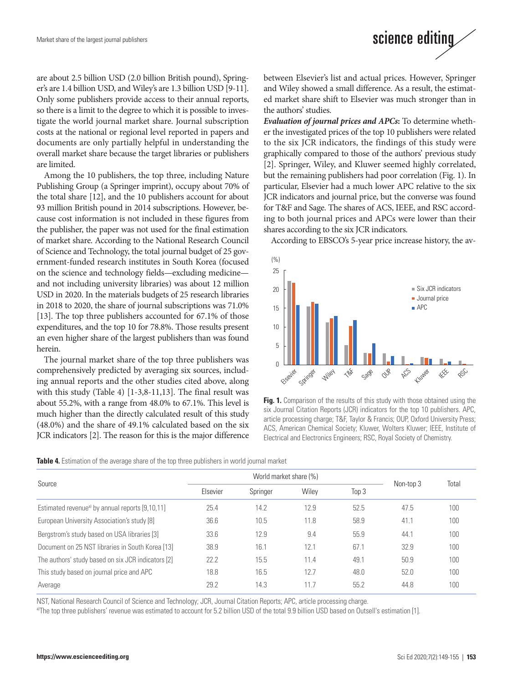

are about 2.5 billion USD (2.0 billion British pound), Springer's are 1.4 billion USD, and Wiley's are 1.3 billion USD [9-11]. Only some publishers provide access to their annual reports, so there is a limit to the degree to which it is possible to investigate the world journal market share. Journal subscription costs at the national or regional level reported in papers and documents are only partially helpful in understanding the overall market share because the target libraries or publishers are limited.

Among the 10 publishers, the top three, including Nature Publishing Group (a Springer imprint), occupy about 70% of the total share [12], and the 10 publishers account for about 93 million British pound in 2014 subscriptions. However, because cost information is not included in these figures from the publisher, the paper was not used for the final estimation of market share. According to the National Research Council of Science and Technology, the total journal budget of 25 government-funded research institutes in South Korea (focused on the science and technology fields—excluding medicine and not including university libraries) was about 12 million USD in 2020. In the materials budgets of 25 research libraries in 2018 to 2020, the share of journal subscriptions was 71.0% [13]. The top three publishers accounted for 67.1% of those expenditures, and the top 10 for 78.8%. Those results present an even higher share of the largest publishers than was found herein.

The journal market share of the top three publishers was comprehensively predicted by averaging six sources, including annual reports and the other studies cited above, along with this study (Table 4) [1-3,8-11,13]. The final result was about 55.2%, with a range from 48.0% to 67.1%. This level is much higher than the directly calculated result of this study (48.0%) and the share of 49.1% calculated based on the six JCR indicators [2]. The reason for this is the major difference

between Elsevier's list and actual prices. However, Springer and Wiley showed a small difference. As a result, the estimated market share shift to Elsevier was much stronger than in the authors' studies.

*Evaluation of journal prices and APCs***:** To determine whether the investigated prices of the top 10 publishers were related to the six JCR indicators, the findings of this study were graphically compared to those of the authors' previous study [2]. Springer, Wiley, and Kluwer seemed highly correlated, but the remaining publishers had poor correlation (Fig. 1). In particular, Elsevier had a much lower APC relative to the six JCR indicators and journal price, but the converse was found for T&F and Sage. The shares of ACS, IEEE, and RSC according to both journal prices and APCs were lower than their shares according to the six JCR indicators.

According to EBSCO's 5-year price increase history, the av-



**Fig. 1.** Comparison of the results of this study with those obtained using the six Journal Citation Reports (JCR) indicators for the top 10 publishers. APC, article processing charge; T&F, Taylor & Francis; OUP, Oxford University Press; ACS, American Chemical Society; Kluwer, Wolters Kluwer; IEEE, Institute of Electrical and Electronics Engineers; RSC, Royal Society of Chemistry.

| Table 4. Estimation of the average share of the top three publishers in world journal market |  |  |  |
|----------------------------------------------------------------------------------------------|--|--|--|
|----------------------------------------------------------------------------------------------|--|--|--|

|                                                             | World market share (%) |          |       |       |           |       |
|-------------------------------------------------------------|------------------------|----------|-------|-------|-----------|-------|
| Source                                                      | Elsevier               | Springer | Wiley | Top 3 | Non-top 3 | Total |
| Estimated revenue <sup>a)</sup> by annual reports [9,10,11] | 25.4                   | 14.2     | 12.9  | 52.5  | 47.5      | 100   |
| European University Association's study [8]                 | 36.6                   | 10.5     | 11.8  | 58.9  | 41.1      | 100   |
| Bergstrom's study based on USA libraries [3]                | 33.6                   | 12.9     | 9.4   | 55.9  | 44.1      | 100   |
| Document on 25 NST libraries in South Korea [13]            | 38.9                   | 16.1     | 12.1  | 67.1  | 32.9      | 100   |
| The authors' study based on six JCR indicators [2]          | 22.2                   | 15.5     | 11.4  | 49.1  | 50.9      | 100   |
| This study based on journal price and APC                   | 18.8                   | 16.5     | 12.7  | 48.0  | 52.0      | 100   |
| Average                                                     | 29.2                   | 14.3     | 11.7  | 55.2  | 44.8      | 100   |

NST, National Research Council of Science and Technology; JCR, Journal Citation Reports; APC, article processing charge.<br><sup>a)</sup>The top three publishers' revenue was estimated to account for 5.2 billion USD of the total 9.9 b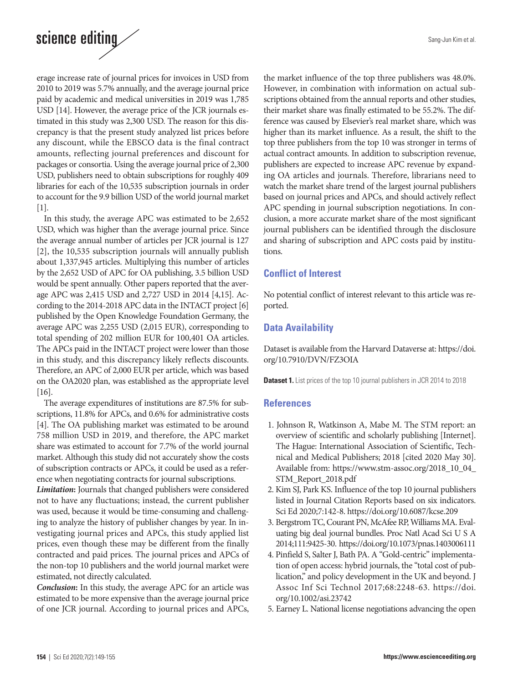# science editing

erage increase rate of journal prices for invoices in USD from 2010 to 2019 was 5.7% annually, and the average journal price paid by academic and medical universities in 2019 was 1,785 USD [14]. However, the average price of the JCR journals estimated in this study was 2,300 USD. The reason for this discrepancy is that the present study analyzed list prices before any discount, while the EBSCO data is the final contract amounts, reflecting journal preferences and discount for packages or consortia. Using the average journal price of 2,300 USD, publishers need to obtain subscriptions for roughly 409 libraries for each of the 10,535 subscription journals in order to account for the 9.9 billion USD of the world journal market [1].

In this study, the average APC was estimated to be 2,652 USD, which was higher than the average journal price. Since the average annual number of articles per JCR journal is 127 [2], the 10,535 subscription journals will annually publish about 1,337,945 articles. Multiplying this number of articles by the 2,652 USD of APC for OA publishing, 3.5 billion USD would be spent annually. Other papers reported that the average APC was 2,415 USD and 2,727 USD in 2014 [4,15]. According to the 2014-2018 APC data in the INTACT project [6] published by the Open Knowledge Foundation Germany, the average APC was 2,255 USD (2,015 EUR), corresponding to total spending of 202 million EUR for 100,401 OA articles. The APCs paid in the INTACT project were lower than those in this study, and this discrepancy likely reflects discounts. Therefore, an APC of 2,000 EUR per article, which was based on the OA2020 plan, was established as the appropriate level [16].

The average expenditures of institutions are 87.5% for subscriptions, 11.8% for APCs, and 0.6% for administrative costs [4]. The OA publishing market was estimated to be around 758 million USD in 2019, and therefore, the APC market share was estimated to account for 7.7% of the world journal market. Although this study did not accurately show the costs of subscription contracts or APCs, it could be used as a reference when negotiating contracts for journal subscriptions.

*Limitation***:** Journals that changed publishers were considered not to have any fluctuations; instead, the current publisher was used, because it would be time-consuming and challenging to analyze the history of publisher changes by year. In investigating journal prices and APCs, this study applied list prices, even though these may be different from the finally contracted and paid prices. The journal prices and APCs of the non-top 10 publishers and the world journal market were estimated, not directly calculated.

*Conclusion***:** In this study, the average APC for an article was estimated to be more expensive than the average journal price of one JCR journal. According to journal prices and APCs,

the market influence of the top three publishers was 48.0%. However, in combination with information on actual subscriptions obtained from the annual reports and other studies, their market share was finally estimated to be 55.2%. The difference was caused by Elsevier's real market share, which was higher than its market influence. As a result, the shift to the top three publishers from the top 10 was stronger in terms of actual contract amounts. In addition to subscription revenue, publishers are expected to increase APC revenue by expanding OA articles and journals. Therefore, librarians need to watch the market share trend of the largest journal publishers based on journal prices and APCs, and should actively reflect APC spending in journal subscription negotiations. In conclusion, a more accurate market share of the most significant journal publishers can be identified through the disclosure and sharing of subscription and APC costs paid by institutions.

# **Conflict of Interest**

No potential conflict of interest relevant to this article was reported.

# **Data Availability**

Dataset is available from the Harvard Dataverse at: [https://doi.](https://doi.org/10.7910/DVN/FZ3OIA) [org/10.7910/DVN/FZ3OIA](https://doi.org/10.7910/DVN/FZ3OIA)

**Dataset 1.** List prices of the top 10 journal publishers in JCR 2014 to 2018

### **References**

- 1. Johnson R, Watkinson A, Mabe M. The STM report: an overview of scientific and scholarly publishing [Internet]. The Hague: International Association of Scientific, Technical and Medical Publishers; 2018 [cited 2020 May 30]. Available from: https://www.stm-assoc.org/2018\_10\_04\_ STM\_Report\_2018.pdf
- 2. Kim SJ, Park KS. Influence of the top 10 journal publishers listed in Journal Citation Reports based on six indicators. Sci Ed 2020;7:142-8. https://doi.org/10.6087/kcse.209
- 3. Bergstrom TC, Courant PN, McAfee RP, Williams MA. Evaluating big deal journal bundles. Proc Natl Acad Sci U S A 2014;111:9425-30. https://doi.org/10.1073/pnas.1403006111
- 4. Pinfield S, Salter J, Bath PA. A "Gold‐centric" implementation of open access: hybrid journals, the "total cost of publication," and policy development in the UK and beyond. J Assoc Inf Sci Technol 2017;68:2248-63. https://doi. org/10.1002/asi.23742
- 5. Earney L. National license negotiations advancing the open